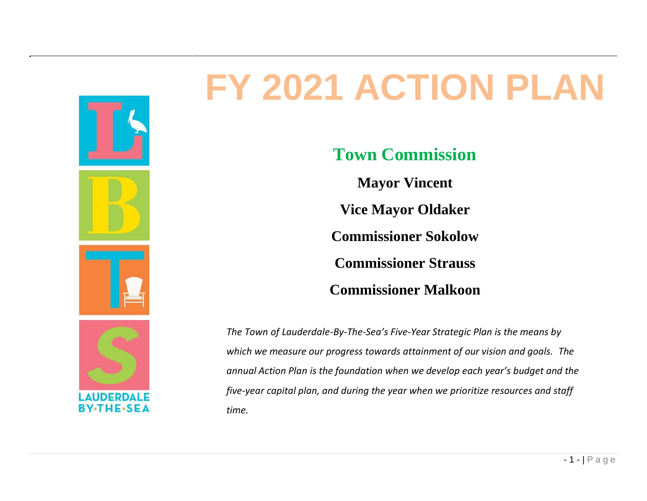## **FY 2021 ACTION PLAN**

**Town Commission Mayor Vincent Vice Mayor Oldaker Commissioner Sokolow Commissioner Strauss Commissioner Malkoon**

*The Town of Lauderdale-By-The-Sea's Five-Year Strategic Plan is the means by which we measure our progress towards attainment of our vision and goals. The annual Action Plan is the foundation when we develop each year's budget and the five-year capital plan, and during the year when we prioritize resources and staff time.*



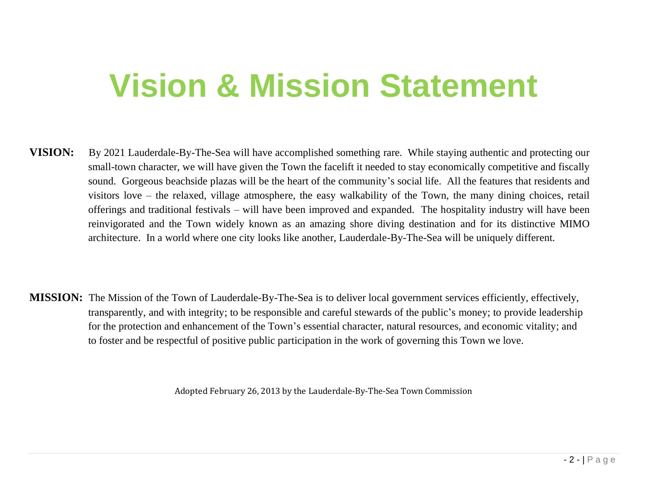## **Vision & Mission Statement**

- **VISION:** By 2021 Lauderdale-By-The-Sea will have accomplished something rare. While staying authentic and protecting our small-town character, we will have given the Town the facelift it needed to stay economically competitive and fiscally sound. Gorgeous beachside plazas will be the heart of the community's social life. All the features that residents and visitors love – the relaxed, village atmosphere, the easy walkability of the Town, the many dining choices, retail offerings and traditional festivals – will have been improved and expanded. The hospitality industry will have been reinvigorated and the Town widely known as an amazing shore diving destination and for its distinctive MIMO architecture. In a world where one city looks like another, Lauderdale-By-The-Sea will be uniquely different.
- **MISSION:** The Mission of the Town of Lauderdale-By-The-Sea is to deliver local government services efficiently, effectively, transparently, and with integrity; to be responsible and careful stewards of the public's money; to provide leadership for the protection and enhancement of the Town's essential character, natural resources, and economic vitality; and to foster and be respectful of positive public participation in the work of governing this Town we love.

Adopted February 26, 2013 by the Lauderdale-By-The-Sea Town Commission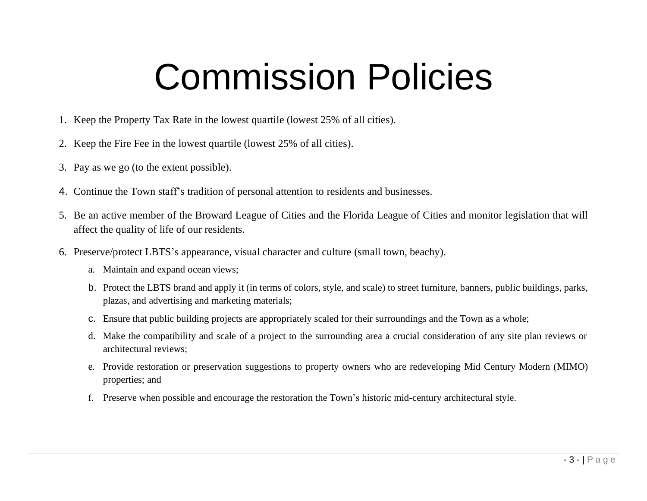## Commission Policies

- 1. Keep the Property Tax Rate in the lowest quartile (lowest 25% of all cities).
- 2. Keep the Fire Fee in the lowest quartile (lowest 25% of all cities).
- 3. Pay as we go (to the extent possible).
- 4. Continue the Town staff's tradition of personal attention to residents and businesses.
- 5. Be an active member of the Broward League of Cities and the Florida League of Cities and monitor legislation that will affect the quality of life of our residents.
- 6. Preserve/protect LBTS's appearance, visual character and culture (small town, beachy).
	- a. Maintain and expand ocean views;
	- b. Protect the LBTS brand and apply it (in terms of colors, style, and scale) to street furniture, banners, public buildings, parks, plazas, and advertising and marketing materials;
	- c. Ensure that public building projects are appropriately scaled for their surroundings and the Town as a whole;
	- d. Make the compatibility and scale of a project to the surrounding area a crucial consideration of any site plan reviews or architectural reviews;
	- e. Provide restoration or preservation suggestions to property owners who are redeveloping Mid Century Modern (MIMO) properties; and
	- f. Preserve when possible and encourage the restoration the Town's historic mid-century architectural style.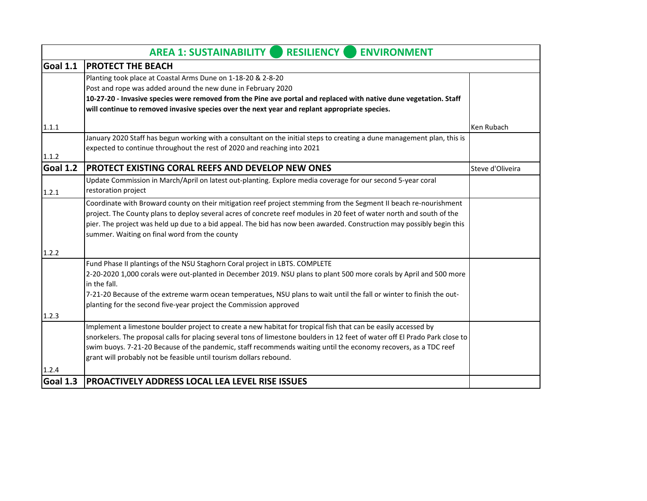|          | <b>RESILIENCY</b><br><b>AREA 1: SUSTAINABILITY (</b><br><b>ENVIRONMENT</b>                                                                                                                                                                                                                                                                                                                                                              |                  |  |
|----------|-----------------------------------------------------------------------------------------------------------------------------------------------------------------------------------------------------------------------------------------------------------------------------------------------------------------------------------------------------------------------------------------------------------------------------------------|------------------|--|
| Goal 1.1 | <b>PROTECT THE BEACH</b>                                                                                                                                                                                                                                                                                                                                                                                                                |                  |  |
|          | Planting took place at Coastal Arms Dune on 1-18-20 & 2-8-20<br>Post and rope was added around the new dune in February 2020<br>10-27-20 - Invasive species were removed from the Pine ave portal and replaced with native dune vegetation. Staff<br>will continue to removed invasive species over the next year and replant appropriate species.                                                                                      |                  |  |
| 1.1.1    |                                                                                                                                                                                                                                                                                                                                                                                                                                         | Ken Rubach       |  |
| 1.1.2    | January 2020 Staff has begun working with a consultant on the initial steps to creating a dune management plan, this is<br>expected to continue throughout the rest of 2020 and reaching into 2021                                                                                                                                                                                                                                      |                  |  |
| Goal 1.2 | <b>PROTECT EXISTING CORAL REEFS AND DEVELOP NEW ONES</b>                                                                                                                                                                                                                                                                                                                                                                                | Steve d'Oliveira |  |
| 1.2.1    | Update Commission in March/April on latest out-planting. Explore media coverage for our second 5-year coral<br>restoration project                                                                                                                                                                                                                                                                                                      |                  |  |
|          | Coordinate with Broward county on their mitigation reef project stemming from the Segment II beach re-nourishment<br>project. The County plans to deploy several acres of concrete reef modules in 20 feet of water north and south of the<br>pier. The project was held up due to a bid appeal. The bid has now been awarded. Construction may possibly begin this<br>summer. Waiting on final word from the county                    |                  |  |
| 1.2.2    |                                                                                                                                                                                                                                                                                                                                                                                                                                         |                  |  |
|          | Fund Phase II plantings of the NSU Staghorn Coral project in LBTS. COMPLETE<br>2-20-2020 1,000 corals were out-planted in December 2019. NSU plans to plant 500 more corals by April and 500 more<br>in the fall.<br>7-21-20 Because of the extreme warm ocean temperatues, NSU plans to wait until the fall or winter to finish the out-<br>planting for the second five-year project the Commission approved                          |                  |  |
| 1.2.3    |                                                                                                                                                                                                                                                                                                                                                                                                                                         |                  |  |
|          | Implement a limestone boulder project to create a new habitat for tropical fish that can be easily accessed by<br>snorkelers. The proposal calls for placing several tons of limestone boulders in 12 feet of water off El Prado Park close to<br>swim buoys. 7-21-20 Because of the pandemic, staff recommends waiting until the economy recovers, as a TDC reef<br>grant will probably not be feasible until tourism dollars rebound. |                  |  |
| 1.2.4    |                                                                                                                                                                                                                                                                                                                                                                                                                                         |                  |  |
| Goal 1.3 | PROACTIVELY ADDRESS LOCAL LEA LEVEL RISE ISSUES                                                                                                                                                                                                                                                                                                                                                                                         |                  |  |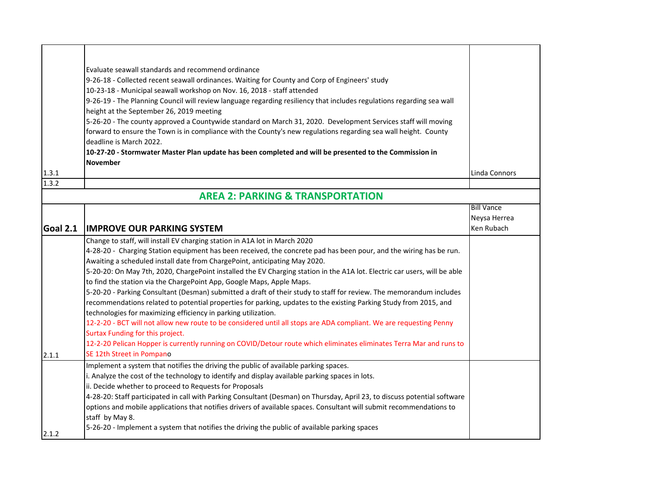|                                             | Evaluate seawall standards and recommend ordinance                                                                        |                   |
|---------------------------------------------|---------------------------------------------------------------------------------------------------------------------------|-------------------|
|                                             | 9-26-18 - Collected recent seawall ordinances. Waiting for County and Corp of Engineers' study                            |                   |
|                                             | 10-23-18 - Municipal seawall workshop on Nov. 16, 2018 - staff attended                                                   |                   |
|                                             | 9-26-19 - The Planning Council will review language regarding resiliency that includes regulations regarding sea wall     |                   |
|                                             | height at the September 26, 2019 meeting                                                                                  |                   |
|                                             | 5-26-20 - The county approved a Countywide standard on March 31, 2020. Development Services staff will moving             |                   |
|                                             | forward to ensure the Town is in compliance with the County's new regulations regarding sea wall height. County           |                   |
|                                             | deadline is March 2022.                                                                                                   |                   |
|                                             | 10-27-20 - Stormwater Master Plan update has been completed and will be presented to the Commission in                    |                   |
|                                             | <b>November</b>                                                                                                           |                   |
| 1.3.1                                       |                                                                                                                           | Linda Connors     |
| 1.3.2                                       |                                                                                                                           |                   |
| <b>AREA 2: PARKING &amp; TRANSPORTATION</b> |                                                                                                                           |                   |
|                                             |                                                                                                                           | <b>Bill Vance</b> |
|                                             |                                                                                                                           | Neysa Herrea      |
| Goal 2.1                                    | <b>IIMPROVE OUR PARKING SYSTEM</b>                                                                                        | Ken Rubach        |
|                                             | Change to staff, will install EV charging station in A1A lot in March 2020                                                |                   |
|                                             | 4-28-20 - Charging Station equipment has been received, the concrete pad has been pour, and the wiring has be run.        |                   |
|                                             | Awaiting a scheduled install date from ChargePoint, anticipating May 2020.                                                |                   |
|                                             | 5-20-20: On May 7th, 2020, ChargePoint installed the EV Charging station in the A1A lot. Electric car users, will be able |                   |
|                                             | to find the station via the ChargePoint App, Google Maps, Apple Maps.                                                     |                   |
|                                             | 5-20-20 - Parking Consultant (Desman) submitted a draft of their study to staff for review. The memorandum includes       |                   |
|                                             | recommendations related to potential properties for parking, updates to the existing Parking Study from 2015, and         |                   |
|                                             | technologies for maximizing efficiency in parking utilization.                                                            |                   |
|                                             | 12-2-20 - BCT will not allow new route to be considered until all stops are ADA compliant. We are requesting Penny        |                   |
|                                             | Surtax Funding for this project.                                                                                          |                   |
|                                             | 12-2-20 Pelican Hopper is currently running on COVID/Detour route which eliminates eliminates Terra Mar and runs to       |                   |
| 2.1.1                                       | SE 12th Street in Pompano                                                                                                 |                   |
|                                             | Implement a system that notifies the driving the public of available parking spaces.                                      |                   |
|                                             | i. Analyze the cost of the technology to identify and display available parking spaces in lots.                           |                   |
|                                             | ii. Decide whether to proceed to Requests for Proposals                                                                   |                   |
|                                             | 4-28-20: Staff participated in call with Parking Consultant (Desman) on Thursday, April 23, to discuss potential software |                   |
|                                             | options and mobile applications that notifies drivers of available spaces. Consultant will submit recommendations to      |                   |
|                                             | staff by May 8.                                                                                                           |                   |
| 2.1.2                                       | 5-26-20 - Implement a system that notifies the driving the public of available parking spaces                             |                   |
|                                             |                                                                                                                           |                   |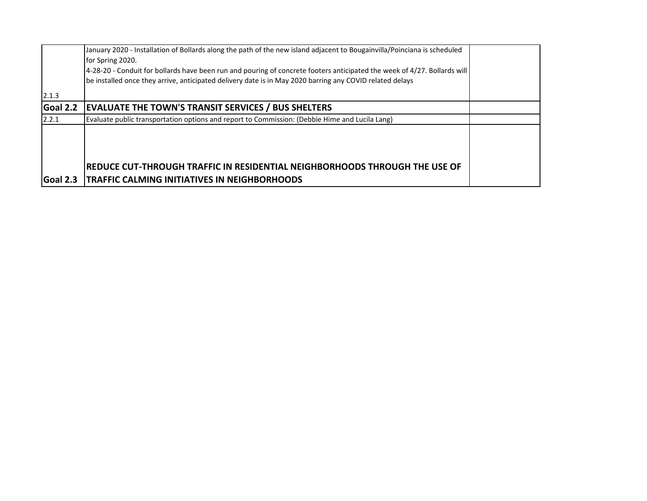|          | January 2020 - Installation of Bollards along the path of the new island adjacent to Bougainvilla/Poinciana is scheduled |  |
|----------|--------------------------------------------------------------------------------------------------------------------------|--|
|          | for Spring 2020.                                                                                                         |  |
|          | 4-28-20 - Conduit for bollards have been run and pouring of concrete footers anticipated the week of 4/27. Bollards will |  |
|          | be installed once they arrive, anticipated delivery date is in May 2020 barring any COVID related delays                 |  |
| 2.1.3    |                                                                                                                          |  |
| Goal 2.2 | <b>EVALUATE THE TOWN'S TRANSIT SERVICES / BUS SHELTERS</b>                                                               |  |
| 2.2.1    | Evaluate public transportation options and report to Commission: (Debbie Hime and Lucila Lang)                           |  |
|          |                                                                                                                          |  |
|          |                                                                                                                          |  |
|          |                                                                                                                          |  |
|          | REDUCE CUT-THROUGH TRAFFIC IN RESIDENTIAL NEIGHBORHOODS THROUGH THE USE OF                                               |  |
| Goal 2.3 | TRAFFIC CALMING INITIATIVES IN NEIGHBORHOODS                                                                             |  |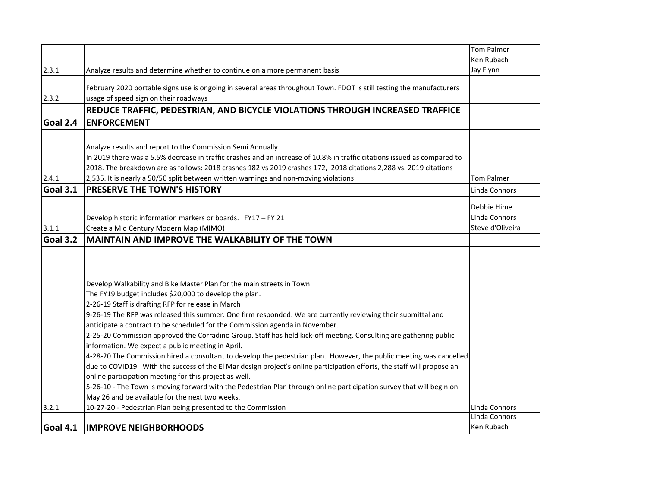|                 |                                                                                                                          | <b>Tom Palmer</b> |
|-----------------|--------------------------------------------------------------------------------------------------------------------------|-------------------|
|                 |                                                                                                                          | Ken Rubach        |
| 2.3.1           | Analyze results and determine whether to continue on a more permanent basis                                              | Jay Flynn         |
|                 | February 2020 portable signs use is ongoing in several areas throughout Town. FDOT is still testing the manufacturers    |                   |
| 2.3.2           | usage of speed sign on their roadways                                                                                    |                   |
|                 | REDUCE TRAFFIC, PEDESTRIAN, AND BICYCLE VIOLATIONS THROUGH INCREASED TRAFFICE                                            |                   |
| Goal 2.4        | <b>ENFORCEMENT</b>                                                                                                       |                   |
|                 |                                                                                                                          |                   |
|                 | Analyze results and report to the Commission Semi Annually                                                               |                   |
|                 | In 2019 there was a 5.5% decrease in traffic crashes and an increase of 10.8% in traffic citations issued as compared to |                   |
|                 | 2018. The breakdown are as follows: 2018 crashes 182 vs 2019 crashes 172, 2018 citations 2,288 vs. 2019 citations        |                   |
| 2.4.1           | 2,535. It is nearly a 50/50 split between written warnings and non-moving violations                                     | <b>Tom Palmer</b> |
| Goal 3.1        | <b>PRESERVE THE TOWN'S HISTORY</b>                                                                                       | Linda Connors     |
|                 |                                                                                                                          | Debbie Hime       |
|                 | Develop historic information markers or boards. FY17 - FY 21                                                             | Linda Connors     |
| 3.1.1           | Create a Mid Century Modern Map (MIMO)                                                                                   | Steve d'Oliveira  |
| <b>Goal 3.2</b> | MAINTAIN AND IMPROVE THE WALKABILITY OF THE TOWN                                                                         |                   |
|                 |                                                                                                                          |                   |
|                 |                                                                                                                          |                   |
|                 |                                                                                                                          |                   |
|                 | Develop Walkability and Bike Master Plan for the main streets in Town.                                                   |                   |
|                 | The FY19 budget includes \$20,000 to develop the plan.                                                                   |                   |
|                 | 2-26-19 Staff is drafting RFP for release in March                                                                       |                   |
|                 | 9-26-19 The RFP was released this summer. One firm responded. We are currently reviewing their submittal and             |                   |
|                 | anticipate a contract to be scheduled for the Commission agenda in November.                                             |                   |
|                 | 2-25-20 Commission approved the Corradino Group. Staff has held kick-off meeting. Consulting are gathering public        |                   |
|                 | information. We expect a public meeting in April.                                                                        |                   |
|                 | 4-28-20 The Commission hired a consultant to develop the pedestrian plan. However, the public meeting was cancelled      |                   |
|                 | due to COVID19. With the success of the El Mar design project's online participation efforts, the staff will propose an  |                   |
|                 | online participation meeting for this project as well.                                                                   |                   |
|                 | 5-26-10 - The Town is moving forward with the Pedestrian Plan through online participation survey that will begin on     |                   |
|                 | May 26 and be available for the next two weeks.                                                                          |                   |
| 3.2.1           | 10-27-20 - Pedestrian Plan being presented to the Commission                                                             | Linda Connors     |
|                 |                                                                                                                          | Linda Connors     |
| Goal 4.1        | <b>IMPROVE NEIGHBORHOODS</b>                                                                                             | Ken Rubach        |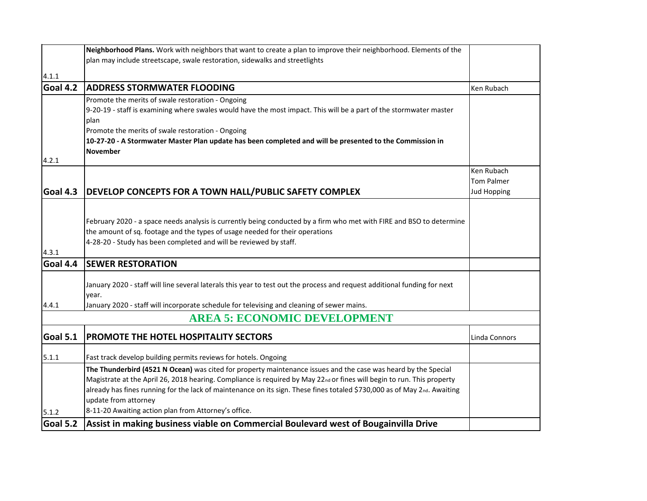|          | Neighborhood Plans. Work with neighbors that want to create a plan to improve their neighborhood. Elements of the         |                    |
|----------|---------------------------------------------------------------------------------------------------------------------------|--------------------|
|          | plan may include streetscape, swale restoration, sidewalks and streetlights                                               |                    |
| 4.1.1    |                                                                                                                           |                    |
| Goal 4.2 | <b>ADDRESS STORMWATER FLOODING</b>                                                                                        | Ken Rubach         |
|          | Promote the merits of swale restoration - Ongoing                                                                         |                    |
|          | 9-20-19 - staff is examining where swales would have the most impact. This will be a part of the stormwater master        |                    |
|          | plan                                                                                                                      |                    |
|          | Promote the merits of swale restoration - Ongoing                                                                         |                    |
|          | 10-27-20 - A Stormwater Master Plan update has been completed and will be presented to the Commission in<br>November      |                    |
| 4.2.1    |                                                                                                                           |                    |
|          |                                                                                                                           | Ken Rubach         |
|          |                                                                                                                           | <b>Tom Palmer</b>  |
| Goal 4.3 | DEVELOP CONCEPTS FOR A TOWN HALL/PUBLIC SAFETY COMPLEX                                                                    | <b>Jud Hopping</b> |
|          |                                                                                                                           |                    |
|          | February 2020 - a space needs analysis is currently being conducted by a firm who met with FIRE and BSO to determine      |                    |
|          | the amount of sq. footage and the types of usage needed for their operations                                              |                    |
|          | 4-28-20 - Study has been completed and will be reviewed by staff.                                                         |                    |
| 4.3.1    |                                                                                                                           |                    |
| Goal 4.4 | <b>SEWER RESTORATION</b>                                                                                                  |                    |
|          | January 2020 - staff will line several laterals this year to test out the process and request additional funding for next |                    |
|          | year.                                                                                                                     |                    |
| 4.4.1    | January 2020 - staff will incorporate schedule for televising and cleaning of sewer mains.                                |                    |
|          | <b>AREA 5: ECONOMIC DEVELOPMENT</b>                                                                                       |                    |
| Goal 5.1 | <b>PROMOTE THE HOTEL HOSPITALITY SECTORS</b>                                                                              | Linda Connors      |
| 5.1.1    | Fast track develop building permits reviews for hotels. Ongoing                                                           |                    |
|          | The Thunderbird (4521 N Ocean) was cited for property maintenance issues and the case was heard by the Special            |                    |
|          | Magistrate at the April 26, 2018 hearing. Compliance is required by May 22nd or fines will begin to run. This property    |                    |
|          | already has fines running for the lack of maintenance on its sign. These fines totaled \$730,000 as of May 2nd. Awaiting  |                    |
|          | update from attorney                                                                                                      |                    |
| 5.1.2    | 8-11-20 Awaiting action plan from Attorney's office.                                                                      |                    |
| Goal 5.2 | Assist in making business viable on Commercial Boulevard west of Bougainvilla Drive                                       |                    |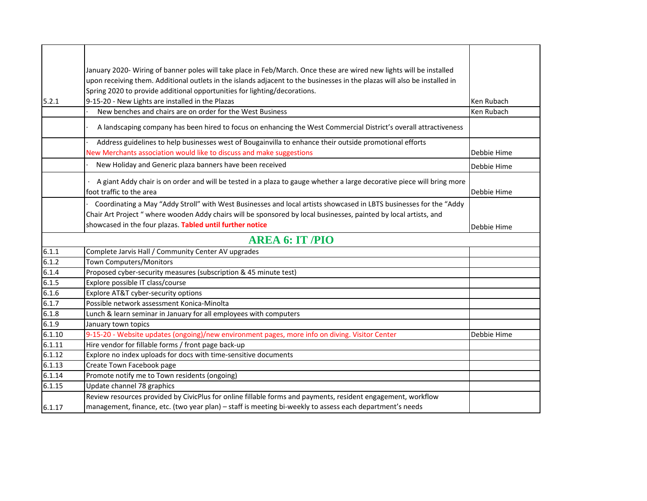|        | January 2020- Wiring of banner poles will take place in Feb/March. Once these are wired new lights will be installed      |             |
|--------|---------------------------------------------------------------------------------------------------------------------------|-------------|
|        | upon receiving them. Additional outlets in the islands adjacent to the businesses in the plazas will also be installed in |             |
|        | Spring 2020 to provide additional opportunities for lighting/decorations.                                                 |             |
| 5.2.1  | 9-15-20 - New Lights are installed in the Plazas<br>New benches and chairs are on order for the West Business             | Ken Rubach  |
|        |                                                                                                                           | Ken Rubach  |
|        | A landscaping company has been hired to focus on enhancing the West Commercial District's overall attractiveness          |             |
|        | Address guidelines to help businesses west of Bougainvilla to enhance their outside promotional efforts                   |             |
|        | New Merchants association would like to discuss and make suggestions                                                      | Debbie Hime |
|        | New Holiday and Generic plaza banners have been received                                                                  | Debbie Hime |
|        | A giant Addy chair is on order and will be tested in a plaza to gauge whether a large decorative piece will bring more    |             |
|        | foot traffic to the area                                                                                                  | Debbie Hime |
|        | Coordinating a May "Addy Stroll" with West Businesses and local artists showcased in LBTS businesses for the "Addy        |             |
|        | Chair Art Project "where wooden Addy chairs will be sponsored by local businesses, painted by local artists, and          |             |
|        | showcased in the four plazas. Tabled until further notice                                                                 | Debbie Hime |
|        | <b>AREA 6: IT /PIO</b>                                                                                                    |             |
| 6.1.1  | Complete Jarvis Hall / Community Center AV upgrades                                                                       |             |
| 6.1.2  | Town Computers/Monitors                                                                                                   |             |
| 6.1.4  | Proposed cyber-security measures (subscription & 45 minute test)                                                          |             |
| 6.1.5  | Explore possible IT class/course                                                                                          |             |
| 6.1.6  | Explore AT&T cyber-security options                                                                                       |             |
| 6.1.7  | Possible network assessment Konica-Minolta                                                                                |             |
| 6.1.8  | Lunch & learn seminar in January for all employees with computers                                                         |             |
| 6.1.9  | January town topics                                                                                                       |             |
| 6.1.10 | 9-15-20 - Website updates (ongoing)/new environment pages, more info on diving. Visitor Center                            | Debbie Hime |
| 6.1.11 | Hire vendor for fillable forms / front page back-up                                                                       |             |
| 6.1.12 | Explore no index uploads for docs with time-sensitive documents                                                           |             |
| 6.1.13 | Create Town Facebook page                                                                                                 |             |
| 6.1.14 | Promote notify me to Town residents (ongoing)                                                                             |             |
| 6.1.15 | Update channel 78 graphics                                                                                                |             |
|        | Review resources provided by CivicPlus for online fillable forms and payments, resident engagement, workflow              |             |
| 6.1.17 | management, finance, etc. (two year plan) - staff is meeting bi-weekly to assess each department's needs                  |             |